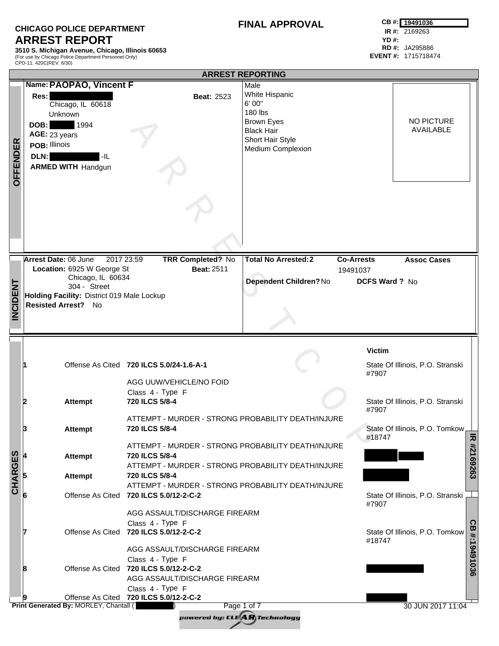## **CHICAGO POLICE DEPARTMENT ARREST REPORT**

**3510 S. Michigan Avenue, Chicago, Illinois 60653** (For use by Chicago Police Department Personnel Only) CPD-11. 420C(REV. 6/30)

## **FINAL APPROVAL**

|                 |                                                                                                                                                               |                                                                                                                                                                                                    | <b>ARREST REPORTING</b>                                                                                                        |                                                        |                                                           |
|-----------------|---------------------------------------------------------------------------------------------------------------------------------------------------------------|----------------------------------------------------------------------------------------------------------------------------------------------------------------------------------------------------|--------------------------------------------------------------------------------------------------------------------------------|--------------------------------------------------------|-----------------------------------------------------------|
| <b>OFFENDER</b> | Name: PAOPAO, Vincent F<br>Res:<br>Chicago, IL 60618<br>Unknown<br>1994<br>DOB:<br>AGE: 23 years<br>POB: Illinois<br>DLN:<br>-IL<br><b>ARMED WITH Handgun</b> | <b>Beat: 2523</b>                                                                                                                                                                                  | Male<br>White Hispanic<br>6' 00"<br>180 lbs<br><b>Brown Eyes</b><br><b>Black Hair</b><br>Short Hair Style<br>Medium Complexion |                                                        | <b>NO PICTURE</b><br>AVAILABLE                            |
|                 | <b>Arrest Date: 06 June</b><br>2017 23:59<br>Location: 6925 W George St<br>Chicago, IL 60634                                                                  | <b>TRR Completed? No</b><br><b>Beat: 2511</b>                                                                                                                                                      | <b>Total No Arrested:2</b><br>Dependent Children? No                                                                           | <b>Co-Arrests</b><br>19491037<br><b>DCFS Ward ? No</b> | <b>Assoc Cases</b>                                        |
| <b>INCIDENT</b> | 304 - Street<br>Holding Facility: District 019 Male Lockup<br>Resisted Arrest? No                                                                             |                                                                                                                                                                                                    |                                                                                                                                |                                                        |                                                           |
|                 |                                                                                                                                                               | Offense As Cited 720 ILCS 5.0/24-1.6-A-1<br>AGG UUW/VEHICLE/NO FOID                                                                                                                                |                                                                                                                                | <b>Victim</b><br>#7907                                 | State Of Illinois, P.O. Stranski                          |
|                 | <b>Attempt</b><br>12                                                                                                                                          | Class 4 - Type F<br>720 ILCS 5/8-4                                                                                                                                                                 |                                                                                                                                | #7907                                                  | State Of Illinois, P.O. Stranski                          |
|                 | B<br><b>Attempt</b>                                                                                                                                           | ATTEMPT - MURDER - STRONG PROBABILITY DEATH/INJURE<br>720 ILCS 5/8-4                                                                                                                               |                                                                                                                                | #18747                                                 | State Of Illinois, P.O. Tomkow,<br>고                      |
| <b>CHARGES</b>  | <b>Attempt</b><br><b>Attempt</b>                                                                                                                              | ATTEMPT - MURDER - STRONG PROBABILITY DEATH/INJURE<br>720 ILCS 5/8-4<br>ATTEMPT - MURDER - STRONG PROBABILITY DEATH/INJURE<br>720 ILCS 5/8-4<br>ATTEMPT - MURDER - STRONG PROBABILITY DEATH/INJURE |                                                                                                                                |                                                        | #2169263                                                  |
|                 |                                                                                                                                                               | Offense As Cited 720 ILCS 5.0/12-2-C-2                                                                                                                                                             |                                                                                                                                | #7907                                                  | State Of Illinois, P.O. Stranski                          |
|                 |                                                                                                                                                               | AGG ASSAULT/DISCHARGE FIREARM<br>Class 4 - Type F<br>Offense As Cited 720 ILCS 5.0/12-2-C-2<br>AGG ASSAULT/DISCHARGE FIREARM                                                                       |                                                                                                                                | #18747                                                 | <b>GB</b><br>State Of Illinois, P.O. Tomkow<br>#:19491036 |
|                 | 8                                                                                                                                                             | Class 4 - Type F<br>Offense As Cited 720 ILCS 5.0/12-2-C-2<br>AGG ASSAULT/DISCHARGE FIREARM<br>Class 4 - Type F                                                                                    |                                                                                                                                |                                                        |                                                           |
|                 | Print Generated By: MORLEY, Chantall (                                                                                                                        | Offense As Cited 720 ILCS 5.0/12-2-C-2<br>powered by: CLE <b>AR</b> Technology                                                                                                                     | Page 1 of 7                                                                                                                    |                                                        | 30 JUN 2017 11:04                                         |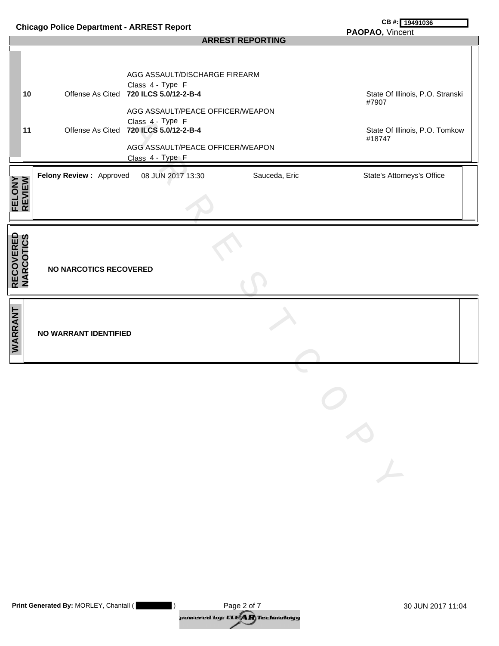| <b>Chicago Police Department - ARREST Report</b> |    |                               |                                                                                                                    |               | CB #: 19491036                            |
|--------------------------------------------------|----|-------------------------------|--------------------------------------------------------------------------------------------------------------------|---------------|-------------------------------------------|
|                                                  |    |                               | PAOPAO, Vincent                                                                                                    |               |                                           |
|                                                  |    |                               | AGG ASSAULT/DISCHARGE FIREARM                                                                                      |               |                                           |
|                                                  | 10 |                               | Class 4 - Type F<br>Offense As Cited 720 ILCS 5.0/12-2-B-4<br>AGG ASSAULT/PEACE OFFICER/WEAPON                     |               | State Of Illinois, P.O. Stranski<br>#7907 |
|                                                  | 11 |                               | Class 4 - Type F<br>Offense As Cited 720 ILCS 5.0/12-2-B-4<br>AGG ASSAULT/PEACE OFFICER/WEAPON<br>Class 4 - Type F |               | State Of Illinois, P.O. Tomkow<br>#18747  |
| <b>FELONY</b><br>REVIEW                          |    | Felony Review: Approved       | 08 JUN 2017 13:30                                                                                                  | Sauceda, Eric | State's Attorneys's Office                |
| <b>RECOVERED<br/>NARCOTICS</b>                   |    | <b>NO NARCOTICS RECOVERED</b> |                                                                                                                    |               |                                           |
| WARRANT                                          |    | NO WARRANT IDENTIFIED         |                                                                                                                    |               |                                           |

| <b>Print Generated By: MORLEY, Chantall (</b> | Page 2 of 7                                                                 | 30 JUN 2017 11:04 |
|-----------------------------------------------|-----------------------------------------------------------------------------|-------------------|
|                                               | powered by: CLE $\left\langle \mathbf{A}\mathbf{R}\right\rangle$ Technology |                   |

A R R E S T C O P Y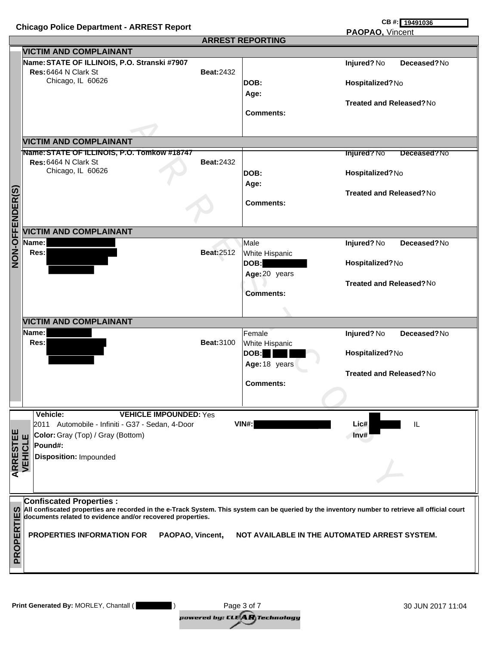## **PAOPAO,** Vincent

|                 |                                                                                                                                                  |                   | <b>ARREST REPORTING</b> | <u>FAUFAU, VIIItenii</u>          |  |
|-----------------|--------------------------------------------------------------------------------------------------------------------------------------------------|-------------------|-------------------------|-----------------------------------|--|
|                 | <b>VICTIM AND COMPLAINANT</b>                                                                                                                    |                   |                         |                                   |  |
|                 | Name: STATE OF ILLINOIS, P.O. Stranski #7907                                                                                                     |                   |                         | Injured? No<br>Deceased?No        |  |
|                 | Res: 6464 N Clark St                                                                                                                             | <b>Beat:2432</b>  |                         |                                   |  |
|                 | Chicago, IL 60626                                                                                                                                |                   | DOB:                    | Hospitalized?No                   |  |
|                 |                                                                                                                                                  |                   | Age:                    |                                   |  |
|                 |                                                                                                                                                  |                   |                         | <b>Treated and Released?No</b>    |  |
|                 |                                                                                                                                                  |                   | <b>Comments:</b>        |                                   |  |
|                 |                                                                                                                                                  |                   |                         |                                   |  |
|                 |                                                                                                                                                  |                   |                         |                                   |  |
|                 | <b>VICTIM AND COMPLAINANT</b>                                                                                                                    |                   |                         |                                   |  |
|                 | Name: STATE OF ILLINOIS, P.O. Tomkow #18747                                                                                                      |                   |                         | <b>Injured?</b> No<br>Deceased?No |  |
|                 | Res: 6464 N Clark St                                                                                                                             | <b>Beat:2432</b>  |                         |                                   |  |
|                 | Chicago, IL 60626                                                                                                                                |                   | DOB:                    | Hospitalized?No                   |  |
|                 |                                                                                                                                                  |                   | Age:                    |                                   |  |
|                 |                                                                                                                                                  |                   |                         | <b>Treated and Released?No</b>    |  |
|                 |                                                                                                                                                  |                   | <b>Comments:</b>        |                                   |  |
|                 |                                                                                                                                                  |                   |                         |                                   |  |
|                 |                                                                                                                                                  |                   |                         |                                   |  |
| NON-OFFENDER(S) | <b>VICTIM AND COMPLAINANT</b>                                                                                                                    |                   |                         |                                   |  |
|                 | Name:                                                                                                                                            |                   | Male                    | Deceased?No<br>Injured? No        |  |
|                 | Res:                                                                                                                                             | <b>Beat:2512</b>  | White Hispanic          |                                   |  |
|                 |                                                                                                                                                  |                   | DOB:                    | Hospitalized?No                   |  |
|                 |                                                                                                                                                  |                   | Age: 20 years           |                                   |  |
|                 |                                                                                                                                                  |                   |                         | <b>Treated and Released?No</b>    |  |
|                 |                                                                                                                                                  |                   | <b>Comments:</b>        |                                   |  |
|                 |                                                                                                                                                  |                   |                         |                                   |  |
|                 |                                                                                                                                                  |                   |                         |                                   |  |
|                 | <b>VICTIM AND COMPLAINANT</b>                                                                                                                    |                   |                         |                                   |  |
|                 | Name:                                                                                                                                            |                   | Female                  | Deceased?No<br>Injured? No        |  |
|                 | Res:                                                                                                                                             | <b>Beat: 3100</b> | White Hispanic          |                                   |  |
|                 |                                                                                                                                                  |                   | DOB:                    | Hospitalized?No                   |  |
|                 |                                                                                                                                                  |                   | Age: 18 years           |                                   |  |
|                 |                                                                                                                                                  |                   |                         | <b>Treated and Released?No</b>    |  |
|                 |                                                                                                                                                  |                   | <b>Comments:</b>        |                                   |  |
|                 |                                                                                                                                                  |                   |                         |                                   |  |
|                 |                                                                                                                                                  |                   |                         |                                   |  |
|                 | Vehicle:<br><b>VEHICLE IMPOUNDED: Yes</b>                                                                                                        |                   |                         |                                   |  |
|                 | 2011 Automobile - Infiniti - G37 - Sedan, 4-Door                                                                                                 |                   | VIN#:                   | Lic#<br>IL                        |  |
| <b>ARRESTEE</b> | Color: Gray (Top) / Gray (Bottom)<br>Щ                                                                                                           |                   |                         | Inv#                              |  |
|                 | Pound#:                                                                                                                                          |                   |                         |                                   |  |
|                 | <b>/EHICL</b><br>Disposition: Impounded                                                                                                          |                   |                         |                                   |  |
|                 |                                                                                                                                                  |                   |                         |                                   |  |
|                 |                                                                                                                                                  |                   |                         |                                   |  |
|                 |                                                                                                                                                  |                   |                         |                                   |  |
|                 | <b>Confiscated Properties:</b>                                                                                                                   |                   |                         |                                   |  |
| ທ               | All confiscated properties are recorded in the e-Track System. This system can be queried by the inventory number to retrieve all official court |                   |                         |                                   |  |
|                 | documents related to evidence and/or recovered properties.                                                                                       |                   |                         |                                   |  |
|                 |                                                                                                                                                  |                   |                         |                                   |  |
|                 | <b>PROPERTIES INFORMATION FOR</b><br>PAOPAO, Vincent,<br>NOT AVAILABLE IN THE AUTOMATED ARREST SYSTEM.                                           |                   |                         |                                   |  |
|                 |                                                                                                                                                  |                   |                         |                                   |  |
| PROPERTIE       |                                                                                                                                                  |                   |                         |                                   |  |
|                 |                                                                                                                                                  |                   |                         |                                   |  |
|                 |                                                                                                                                                  |                   |                         |                                   |  |

powered by: CLE**AR** Technology Print Generated By: MORLEY, Chantall ( **)** 30 JUN 2017 11:04 Page 3 of 7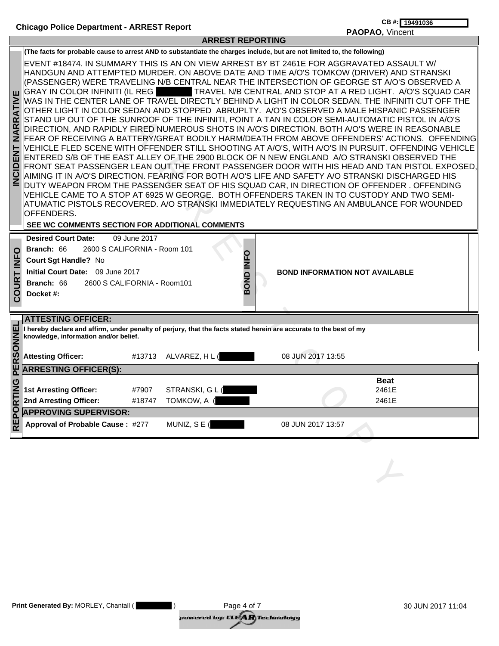Г

**PAOPAO,** Vincent

|                                                                                            |                                                                                                                                                                                                |                 | ARREJI REPURTING               |                                                                                                                                                                                                                                                                                                                                                                                                                                                                                                                                                                                                                                                                                                                                                                                                                                                                                                                                                                                                                                                                                                                                                                                                                                                                                                                                                                                                                                                                                                                                                       |                |
|--------------------------------------------------------------------------------------------|------------------------------------------------------------------------------------------------------------------------------------------------------------------------------------------------|-----------------|--------------------------------|-------------------------------------------------------------------------------------------------------------------------------------------------------------------------------------------------------------------------------------------------------------------------------------------------------------------------------------------------------------------------------------------------------------------------------------------------------------------------------------------------------------------------------------------------------------------------------------------------------------------------------------------------------------------------------------------------------------------------------------------------------------------------------------------------------------------------------------------------------------------------------------------------------------------------------------------------------------------------------------------------------------------------------------------------------------------------------------------------------------------------------------------------------------------------------------------------------------------------------------------------------------------------------------------------------------------------------------------------------------------------------------------------------------------------------------------------------------------------------------------------------------------------------------------------------|----------------|
|                                                                                            |                                                                                                                                                                                                |                 |                                | (The facts for probable cause to arrest AND to substantiate the charges include, but are not limited to, the following)                                                                                                                                                                                                                                                                                                                                                                                                                                                                                                                                                                                                                                                                                                                                                                                                                                                                                                                                                                                                                                                                                                                                                                                                                                                                                                                                                                                                                               |                |
| ш<br><b>ATIVI</b><br>œ<br>$\overline{\mathbf{r}}$<br>ৰ<br>z<br><b>TAB</b><br><b>INCIDE</b> | <b>GRAY IN COLOR INFINITI (IL REG)</b><br>OFFENDERS.<br>SEE WC COMMENTS SECTION FOR ADDITIONAL COMMENTS                                                                                        |                 |                                | EVENT #18474. IN SUMMARY THIS IS AN ON VIEW ARREST BY BT 2461E FOR AGGRAVATED ASSAULT W/<br>HANDGUN AND ATTEMPTED MURDER. ON ABOVE DATE AND TIME A/O'S TOMKOW (DRIVER) AND STRANSKI<br>(PASSENGER) WERE TRAVELING N/B CENTRAL NEAR THE INTERSECTION OF GEORGE ST A/O'S OBSERVED A<br>TRAVEL N/B CENTRAL AND STOP AT A RED LIGHT. A/O'S SQUAD CAR<br>WAS IN THE CENTER LANE OF TRAVEL DIRECTLY BEHIND A LIGHT IN COLOR SEDAN. THE INFINITI CUT OFF THE<br>OTHER LIGHT IN COLOR SEDAN AND STOPPED ABRUPLTY. A/O'S OBSERVED A MALE HISPANIC PASSENGER<br>STAND UP OUT OF THE SUNROOF OF THE INFINITI, POINT A TAN IN COLOR SEMI-AUTOMATIC PISTOL IN A/O'S<br>DIRECTION, AND RAPIDLY FIRED NUMEROUS SHOTS IN A/O'S DIRECTION. BOTH A/O'S WERE IN REASONABLE<br>FEAR OF RECEIVING A BATTERY/GREAT BODILY HARM/DEATH FROM ABOVE OFFENDERS' ACTIONS. OFFENDING<br>VEHICLE FLED SCENE WITH OFFENDER STILL SHOOTING AT A/O'S, WITH A/O'S IN PURSUIT. OFFENDING VEHICLE<br>ENTERED S/B OF THE EAST ALLEY OF THE 2900 BLOCK OF N NEW ENGLAND A/O STRANSKI OBSERVED THE<br>FRONT SEAT PASSENGER LEAN OUT THE FRONT PASSENGER DOOR WITH HIS HEAD AND TAN PISTOL EXPOSED,<br>AIMING IT IN A/O'S DIRECTION. FEARING FOR BOTH A/O'S LIFE AND SAFETY A/O STRANSKI DISCHARGED HIS<br>DUTY WEAPON FROM THE PASSENGER SEAT OF HIS SQUAD CAR, IN DIRECTION OF OFFENDER. OFFENDING<br>VEHICLE CAME TO A STOP AT 6925 W GEORGE. BOTH OFFENDERS TAKEN IN TO CUSTODY AND TWO SEMI-<br>ATUMATIC PISTOLS RECOVERED. A/O STRANSKI IMMEDIATELY REQUESTING AN AMBULANCE FOR WOUNDED |                |
| $\circ$<br>$\check{z}$<br>Н<br>COUR <sup>-</sup>                                           | <b>Desired Court Date:</b><br>Branch: 66<br>2600 S CALIFORNIA - Room 101<br>Court Sgt Handle? No<br>Initial Court Date: 09 June 2017<br>Branch: 66<br>2600 S CALIFORNIA - Room101<br>Docket #: | 09 June 2017    | BOND INFO                      | <b>BOND INFORMATION NOT AVAILABLE</b>                                                                                                                                                                                                                                                                                                                                                                                                                                                                                                                                                                                                                                                                                                                                                                                                                                                                                                                                                                                                                                                                                                                                                                                                                                                                                                                                                                                                                                                                                                                 |                |
|                                                                                            | <b>ATTESTING OFFICER:</b>                                                                                                                                                                      |                 |                                |                                                                                                                                                                                                                                                                                                                                                                                                                                                                                                                                                                                                                                                                                                                                                                                                                                                                                                                                                                                                                                                                                                                                                                                                                                                                                                                                                                                                                                                                                                                                                       |                |
| PERSONNEL                                                                                  | knowledge, information and/or belief.                                                                                                                                                          |                 |                                | I hereby declare and affirm, under penalty of perjury, that the facts stated herein are accurate to the best of my                                                                                                                                                                                                                                                                                                                                                                                                                                                                                                                                                                                                                                                                                                                                                                                                                                                                                                                                                                                                                                                                                                                                                                                                                                                                                                                                                                                                                                    |                |
|                                                                                            | <b>Attesting Officer:</b>                                                                                                                                                                      |                 | #13713 ALVAREZ, H L (          | 08 JUN 2017 13:55                                                                                                                                                                                                                                                                                                                                                                                                                                                                                                                                                                                                                                                                                                                                                                                                                                                                                                                                                                                                                                                                                                                                                                                                                                                                                                                                                                                                                                                                                                                                     |                |
|                                                                                            | <b>ARRESTING OFFICER(S):</b>                                                                                                                                                                   |                 |                                |                                                                                                                                                                                                                                                                                                                                                                                                                                                                                                                                                                                                                                                                                                                                                                                                                                                                                                                                                                                                                                                                                                                                                                                                                                                                                                                                                                                                                                                                                                                                                       |                |
|                                                                                            |                                                                                                                                                                                                |                 |                                |                                                                                                                                                                                                                                                                                                                                                                                                                                                                                                                                                                                                                                                                                                                                                                                                                                                                                                                                                                                                                                                                                                                                                                                                                                                                                                                                                                                                                                                                                                                                                       | <b>Beat</b>    |
| RTING                                                                                      | <b>1st Arresting Officer:</b><br>2nd Arresting Officer:                                                                                                                                        | #7907<br>#18747 | STRANSKI, G L (<br>TOMKOW, A ( |                                                                                                                                                                                                                                                                                                                                                                                                                                                                                                                                                                                                                                                                                                                                                                                                                                                                                                                                                                                                                                                                                                                                                                                                                                                                                                                                                                                                                                                                                                                                                       | 2461E<br>2461E |
|                                                                                            |                                                                                                                                                                                                |                 |                                |                                                                                                                                                                                                                                                                                                                                                                                                                                                                                                                                                                                                                                                                                                                                                                                                                                                                                                                                                                                                                                                                                                                                                                                                                                                                                                                                                                                                                                                                                                                                                       |                |
| <b>REPO</b>                                                                                | <b>APPROVING SUPERVISOR:</b>                                                                                                                                                                   |                 |                                |                                                                                                                                                                                                                                                                                                                                                                                                                                                                                                                                                                                                                                                                                                                                                                                                                                                                                                                                                                                                                                                                                                                                                                                                                                                                                                                                                                                                                                                                                                                                                       |                |
|                                                                                            | Approval of Probable Cause: #277                                                                                                                                                               |                 | MUNIZ, SE (                    | 08 JUN 2017 13:57                                                                                                                                                                                                                                                                                                                                                                                                                                                                                                                                                                                                                                                                                                                                                                                                                                                                                                                                                                                                                                                                                                                                                                                                                                                                                                                                                                                                                                                                                                                                     |                |
|                                                                                            |                                                                                                                                                                                                |                 |                                |                                                                                                                                                                                                                                                                                                                                                                                                                                                                                                                                                                                                                                                                                                                                                                                                                                                                                                                                                                                                                                                                                                                                                                                                                                                                                                                                                                                                                                                                                                                                                       |                |
|                                                                                            |                                                                                                                                                                                                |                 |                                |                                                                                                                                                                                                                                                                                                                                                                                                                                                                                                                                                                                                                                                                                                                                                                                                                                                                                                                                                                                                                                                                                                                                                                                                                                                                                                                                                                                                                                                                                                                                                       |                |
|                                                                                            |                                                                                                                                                                                                |                 |                                |                                                                                                                                                                                                                                                                                                                                                                                                                                                                                                                                                                                                                                                                                                                                                                                                                                                                                                                                                                                                                                                                                                                                                                                                                                                                                                                                                                                                                                                                                                                                                       |                |
|                                                                                            |                                                                                                                                                                                                |                 |                                |                                                                                                                                                                                                                                                                                                                                                                                                                                                                                                                                                                                                                                                                                                                                                                                                                                                                                                                                                                                                                                                                                                                                                                                                                                                                                                                                                                                                                                                                                                                                                       |                |

**ARREST REPORTING**

| Print Generated By: MORLEY, Chantall ( | Page 4 of 7                          | 30 JUN 2017 11:04 |
|----------------------------------------|--------------------------------------|-------------------|
|                                        | powered by: CLE <b>AR</b> Technology |                   |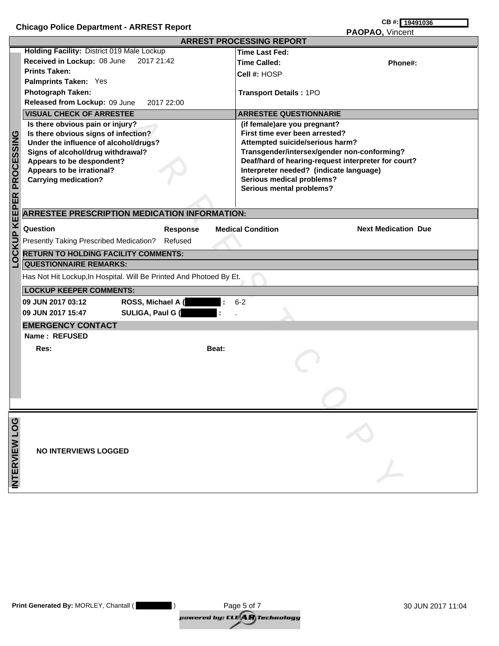|                                | $m$ and $m$ and $m$ and $m$ and $m$ and $m$ and $m$ and $m$<br>PAOPAO, Vincent                                                                                                                                                                                                                                                                                                                                                                                                                     |       |                                                                                                                                                                                                                                                                                                                                                                                                                                                                 |  |  |  |
|--------------------------------|----------------------------------------------------------------------------------------------------------------------------------------------------------------------------------------------------------------------------------------------------------------------------------------------------------------------------------------------------------------------------------------------------------------------------------------------------------------------------------------------------|-------|-----------------------------------------------------------------------------------------------------------------------------------------------------------------------------------------------------------------------------------------------------------------------------------------------------------------------------------------------------------------------------------------------------------------------------------------------------------------|--|--|--|
|                                |                                                                                                                                                                                                                                                                                                                                                                                                                                                                                                    |       | <b>ARREST PROCESSING REPORT</b>                                                                                                                                                                                                                                                                                                                                                                                                                                 |  |  |  |
| <b>OCKUP KEEPER PROCESSING</b> | Holding Facility: District 019 Male Lockup<br>Received in Lockup: 08 June<br>2017 21:42<br><b>Prints Taken:</b><br>Palmprints Taken: Yes<br>Photograph Taken:<br>Released from Lockup: 09 June<br>2017 22:00<br><b>VISUAL CHECK OF ARRESTEE</b><br>Is there obvious pain or injury?<br>Is there obvious signs of infection?<br>Under the influence of alcohol/drugs?<br>Signs of alcohol/drug withdrawal?<br>Appears to be despondent?<br>Appears to be irrational?<br><b>Carrying medication?</b> |       | <b>Time Last Fed:</b><br><b>Time Called:</b><br>Phone#:<br>Cell #: HOSP<br><b>Transport Details: 1PO</b><br><b>ARRESTEE QUESTIONNARIE</b><br>(if female)are you pregnant?<br>First time ever been arrested?<br>Attempted suicide/serious harm?<br>Transgender/intersex/gender non-conforming?<br>Deaf/hard of hearing-request interpreter for court?<br>Interpreter needed? (indicate language)<br><b>Serious medical problems?</b><br>Serious mental problems? |  |  |  |
|                                | <b>ARRESTEE PRESCRIPTION MEDICATION INFORMATION:</b><br>Question<br><b>Response</b><br>Presently Taking Prescribed Medication?<br>Refused                                                                                                                                                                                                                                                                                                                                                          |       | <b>Next Medication Due</b><br><b>Medical Condition</b>                                                                                                                                                                                                                                                                                                                                                                                                          |  |  |  |
|                                | <b>RETURN TO HOLDING FACILITY COMMENTS:</b><br><b>QUESTIONNAIRE REMARKS:</b>                                                                                                                                                                                                                                                                                                                                                                                                                       |       |                                                                                                                                                                                                                                                                                                                                                                                                                                                                 |  |  |  |
|                                | Has Not Hit Lockup, In Hospital. Will Be Printed And Photoed By Et.                                                                                                                                                                                                                                                                                                                                                                                                                                |       |                                                                                                                                                                                                                                                                                                                                                                                                                                                                 |  |  |  |
|                                | <b>LOCKUP KEEPER COMMENTS:</b>                                                                                                                                                                                                                                                                                                                                                                                                                                                                     |       |                                                                                                                                                                                                                                                                                                                                                                                                                                                                 |  |  |  |
|                                | ROSS, Michael A (<br>09 JUN 2017 03:12<br>SULIGA, Paul G (<br>09 JUN 2017 15:47                                                                                                                                                                                                                                                                                                                                                                                                                    |       | $6 - 2$                                                                                                                                                                                                                                                                                                                                                                                                                                                         |  |  |  |
|                                | <b>EMERGENCY CONTACT</b>                                                                                                                                                                                                                                                                                                                                                                                                                                                                           |       |                                                                                                                                                                                                                                                                                                                                                                                                                                                                 |  |  |  |
|                                | Name: REFUSED<br>Res:                                                                                                                                                                                                                                                                                                                                                                                                                                                                              | Beat: |                                                                                                                                                                                                                                                                                                                                                                                                                                                                 |  |  |  |
|                                |                                                                                                                                                                                                                                                                                                                                                                                                                                                                                                    |       |                                                                                                                                                                                                                                                                                                                                                                                                                                                                 |  |  |  |
| INTERVIEW LOG                  | <b>NO INTERVIEWS LOGGED</b>                                                                                                                                                                                                                                                                                                                                                                                                                                                                        |       |                                                                                                                                                                                                                                                                                                                                                                                                                                                                 |  |  |  |

| <b>Print Generated By: MORLEY, Chantall (</b> | Page 5 of 7                          | 30 JUN 2017 11:04 |
|-----------------------------------------------|--------------------------------------|-------------------|
|                                               | powered by: CLE <b>AR</b> Technology |                   |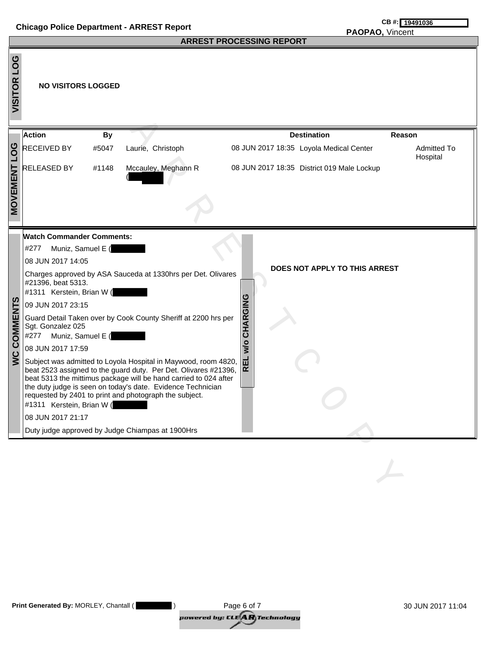## **Chicago Police Department - ARREST Report Chicago Police Department - ARREST Report**

#### **ARREST PROCESSING REPORT**

# **PAOPAO,** Vincent

|                       |                                                                                                                                                                                                                                                                                     |           |                                                                                                                                                                                                                                                                                                                                                                                                                                                                  | ARREST PROCESSING REPORT                                   |                                |
|-----------------------|-------------------------------------------------------------------------------------------------------------------------------------------------------------------------------------------------------------------------------------------------------------------------------------|-----------|------------------------------------------------------------------------------------------------------------------------------------------------------------------------------------------------------------------------------------------------------------------------------------------------------------------------------------------------------------------------------------------------------------------------------------------------------------------|------------------------------------------------------------|--------------------------------|
| <b>PO5</b><br>VISITOR | <b>NO VISITORS LOGGED</b>                                                                                                                                                                                                                                                           |           |                                                                                                                                                                                                                                                                                                                                                                                                                                                                  |                                                            |                                |
|                       | Action                                                                                                                                                                                                                                                                              | <b>By</b> |                                                                                                                                                                                                                                                                                                                                                                                                                                                                  | <b>Destination</b>                                         | Reason                         |
| <b>DO1</b>            | <b>RECEIVED BY</b>                                                                                                                                                                                                                                                                  | #5047     | Laurie, Christoph                                                                                                                                                                                                                                                                                                                                                                                                                                                | 08 JUN 2017 18:35 Loyola Medical Center                    | <b>Admitted To</b><br>Hospital |
| MOVEMENT              | <b>RELEASED BY</b>                                                                                                                                                                                                                                                                  | #1148     | Mccauley, Meghann R                                                                                                                                                                                                                                                                                                                                                                                                                                              | 08 JUN 2017 18:35 District 019 Male Lockup                 |                                |
| <b>WC COMMENTS</b>    | <b>Watch Commander Comments:</b><br>#277<br>Muniz, Samuel E (<br>08 JUN 2017 14:05<br>#21396, beat 5313.<br>#1311 Kerstein, Brian W (<br>09 JUN 2017 23:15<br>Sgt. Gonzalez 025<br>#277<br>Muniz, Samuel E (<br>08 JUN 2017 17:59<br>#1311 Kerstein, Brian W (<br>08 JUN 2017 21:17 |           | Charges approved by ASA Sauceda at 1330hrs per Det. Olivares<br>Guard Detail Taken over by Cook County Sheriff at 2200 hrs per<br>Subject was admitted to Loyola Hospital in Maywood, room 4820,<br>beat 2523 assigned to the guard duty. Per Det. Olivares #21396,<br>beat 5313 the mittimus package will be hand carried to 024 after<br>the duty judge is seen on today's date. Evidence Technician<br>requested by 2401 to print and photograph the subject. | DOES NOT APPLY TO THIS ARREST<br>CHARGING<br>w/o<br>굽<br>œ |                                |
|                       |                                                                                                                                                                                                                                                                                     |           | Duty judge approved by Judge Chiampas at 1900Hrs                                                                                                                                                                                                                                                                                                                                                                                                                 |                                                            |                                |
|                       |                                                                                                                                                                                                                                                                                     |           |                                                                                                                                                                                                                                                                                                                                                                                                                                                                  |                                                            |                                |

| <b>Print Generated By: MORLEY, Chantall (</b> | Page 6 of 7                                                                 | 30 JUN 2017 11:04 |
|-----------------------------------------------|-----------------------------------------------------------------------------|-------------------|
|                                               | powered by: CLE $\left\langle \mathbf{A}\mathbf{R}\right\rangle$ Technology |                   |